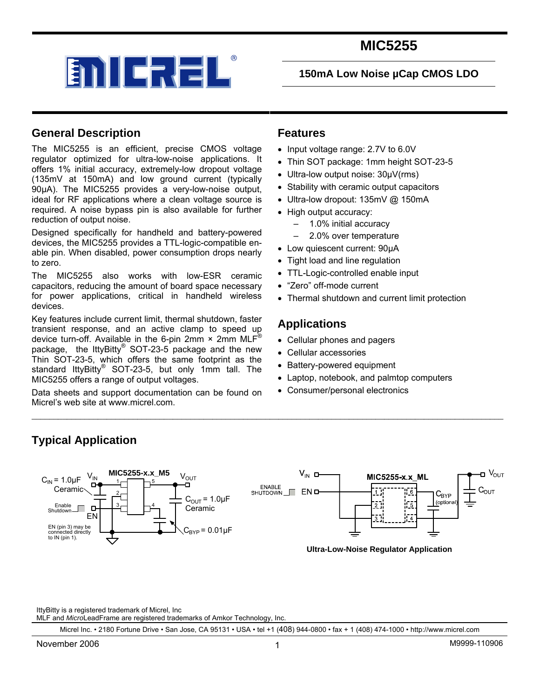

### **150mA Low Noise µCap CMOS LDO**

### **General Description**

The MIC5255 is an efficient, precise CMOS voltage regulator optimized for ultra-low-noise applications. It offers 1% initial accuracy, extremely-low dropout voltage (135mV at 150mA) and low ground current (typically 90µA). The MIC5255 provides a very-low-noise output, ideal for RF applications where a clean voltage source is required. A noise bypass pin is also available for further reduction of output noise.

Designed specifically for handheld and battery-powered devices, the MIC5255 provides a TTL-logic-compatible enable pin. When disabled, power consumption drops nearly to zero.

The MIC5255 also works with low-ESR ceramic capacitors, reducing the amount of board space necessary for power applications, critical in handheld wireless devices.

Key features include current limit, thermal shutdown, faster transient response, and an active clamp to speed up device turn-off. Available in the 6-pin 2mm  $\times$  2mm MLF<sup>®</sup> package, the lttyBitty® SOT-23-5 package and the new Thin SOT-23-5, which offers the same footprint as the standard lttyBitty<sup>®</sup> SOT-23-5, but only 1mm tall. The MIC5255 offers a range of output voltages.

Data sheets and support documentation can be found on Micrel's web site at www.micrel.com.

### **Features**

- Input voltage range: 2.7V to 6.0V
- Thin SOT package: 1mm height SOT-23-5
- Ultra-low output noise: 30µV(rms)
- Stability with ceramic output capacitors
- Ultra-low dropout: 135mV @ 150mA
- High output accuracy:
	- 1.0% initial accuracy
	- 2.0% over temperature
- Low quiescent current: 90µA
- Tight load and line regulation
- TTL-Logic-controlled enable input
- "Zero" off-mode current
- Thermal shutdown and current limit protection

### **Applications**

- Cellular phones and pagers
- Cellular accessories
- Battery-powered equipment
- Laptop, notebook, and palmtop computers
- Consumer/personal electronics

### **Typical Application**



\_\_\_\_\_\_\_\_\_\_\_\_\_\_\_\_\_\_\_\_\_\_\_\_\_\_\_\_\_\_\_\_\_\_\_\_\_\_\_\_\_\_\_\_\_\_\_\_\_\_\_\_\_\_\_\_\_\_\_\_\_\_\_\_\_\_\_\_\_\_\_\_\_\_\_\_\_\_\_\_\_\_\_\_\_\_\_\_\_\_\_\_\_\_\_\_\_\_\_\_\_\_\_\_\_\_\_

**Ultra-Low-Noise Regulator Application** 

IttyBitty is a registered trademark of Micrel, Inc

MLF and *Micro*LeadFrame are registered trademarks of Amkor Technology, Inc.

Micrel Inc. • 2180 Fortune Drive • San Jose, CA 95131 • USA • tel +1 (408) 944-0800 • fax + 1 (408) 474-1000 • http://www.micrel.com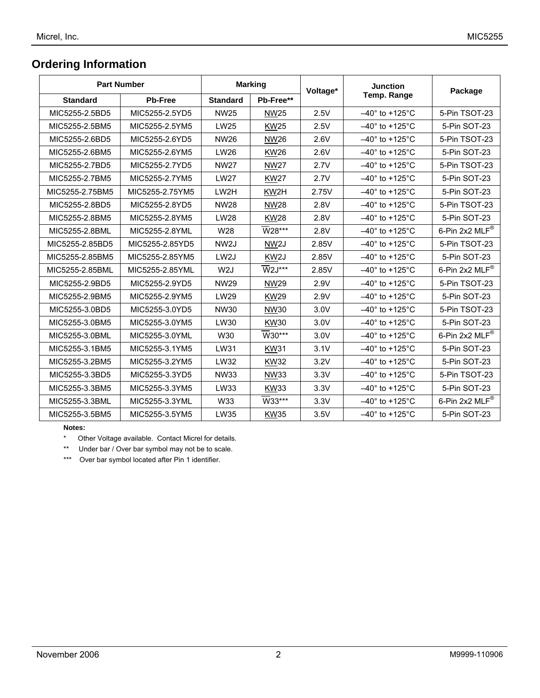### **Ordering Information**

| <b>Part Number</b> |                 | <b>Marking</b>    |                      | Voltage* | <b>Junction</b>                | Package                     |  |
|--------------------|-----------------|-------------------|----------------------|----------|--------------------------------|-----------------------------|--|
| <b>Standard</b>    | <b>Pb-Free</b>  | <b>Standard</b>   | Pb-Free**            |          | <b>Temp. Range</b>             |                             |  |
| MIC5255-2.5BD5     | MIC5255-2.5YD5  | <b>NW25</b>       | <b>NW25</b>          | 2.5V     | $-40^\circ$ to +125 $^\circ$ C | 5-Pin TSOT-23               |  |
| MIC5255-2.5BM5     | MIC5255-2.5YM5  | <b>LW25</b>       | <b>KW25</b>          | 2.5V     | $-40^\circ$ to +125 $^\circ$ C | 5-Pin SOT-23                |  |
| MIC5255-2.6BD5     | MIC5255-2.6YD5  | <b>NW26</b>       | <b>NW26</b>          | 2.6V     | $-40^\circ$ to +125 $^\circ$ C | 5-Pin TSOT-23               |  |
| MIC5255-2.6BM5     | MIC5255-2.6YM5  | <b>LW26</b>       | <b>KW26</b>          | 2.6V     | $-40^\circ$ to +125 $^\circ$ C | 5-Pin SOT-23                |  |
| MIC5255-2.7BD5     | MIC5255-2.7YD5  | <b>NW27</b>       | <b>NW27</b>          | 2.7V     | $-40^\circ$ to +125 $^\circ$ C | 5-Pin TSOT-23               |  |
| MIC5255-2.7BM5     | MIC5255-2.7YM5  | <b>LW27</b>       | <b>KW27</b>          | 2.7V     | $-40^\circ$ to +125 $^\circ$ C | 5-Pin SOT-23                |  |
| MIC5255-2.75BM5    | MIC5255-2.75YM5 | LW2H              | KW2H                 | 2.75V    | $-40^\circ$ to +125 $^\circ$ C | 5-Pin SOT-23                |  |
| MIC5255-2.8BD5     | MIC5255-2.8YD5  | <b>NW28</b>       | <b>NW28</b>          | 2.8V     | $-40^\circ$ to +125 $^\circ$ C | 5-Pin TSOT-23               |  |
| MIC5255-2.8BM5     | MIC5255-2.8YM5  | <b>LW28</b>       | <b>KW28</b>          | 2.8V     | $-40^\circ$ to +125 $^\circ$ C | 5-Pin SOT-23                |  |
| MIC5255-2.8BML     | MIC5255-2.8YML  | W28               | W28***               | 2.8V     | $-40^\circ$ to +125 $^\circ$ C | 6-Pin 2x2 MLF®              |  |
| MIC5255-2.85BD5    | MIC5255-2.85YD5 | NW <sub>2J</sub>  | NW <sub>2</sub> J    | 2.85V    | $-40^\circ$ to +125 $^\circ$ C | 5-Pin TSOT-23               |  |
| MIC5255-2.85BM5    | MIC5255-2.85YM5 | LW <sub>2</sub> J | KW <sub>2</sub> J    | 2.85V    | $-40^\circ$ to $+125^\circ$ C  | 5-Pin SOT-23                |  |
| MIC5255-2.85BML    | MIC5255-2.85YML | W <sub>2</sub> J  | $\overline{W}$ 2J*** | 2.85V    | $-40^\circ$ to +125 $^\circ$ C | 6-Pin 2x2 $MLF^{\circledR}$ |  |
| MIC5255-2.9BD5     | MIC5255-2.9YD5  | <b>NW29</b>       | <b>NW29</b>          | 2.9V     | $-40^\circ$ to +125 $^\circ$ C | 5-Pin TSOT-23               |  |
| MIC5255-2.9BM5     | MIC5255-2.9YM5  | LW29              | <b>KW29</b>          | 2.9V     | $-40^\circ$ to +125 $^\circ$ C | 5-Pin SOT-23                |  |
| MIC5255-3.0BD5     | MIC5255-3.0YD5  | NW30              | NW30                 | 3.0V     | $-40^\circ$ to +125 $^\circ$ C | 5-Pin TSOT-23               |  |
| MIC5255-3.0BM5     | MIC5255-3.0YM5  | LW30              | <b>KW30</b>          | 3.0V     | $-40^\circ$ to $+125^\circ$ C  | 5-Pin SOT-23                |  |
| MIC5255-3.0BML     | MIC5255-3.0YML  | W30               | W30***               | 3.0V     | $-40^\circ$ to +125 $^\circ$ C | 6-Pin 2x2 MLF®              |  |
| MIC5255-3.1BM5     | MIC5255-3.1YM5  | LW31              | <b>KW31</b>          | 3.1V     | $-40^\circ$ to +125 $^\circ$ C | 5-Pin SOT-23                |  |
| MIC5255-3.2BM5     | MIC5255-3.2YM5  | LW32              | <b>KW32</b>          | 3.2V     | $-40^\circ$ to +125 $^\circ$ C | 5-Pin SOT-23                |  |
| MIC5255-3.3BD5     | MIC5255-3.3YD5  | NW33              | <b>NW33</b>          | 3.3V     | $-40^\circ$ to $+125^\circ$ C  | 5-Pin TSOT-23               |  |
| MIC5255-3.3BM5     | MIC5255-3.3YM5  | LW33              | <b>KW33</b>          | 3.3V     | $-40^\circ$ to +125 $^\circ$ C | 5-Pin SOT-23                |  |
| MIC5255-3.3BML     | MIC5255-3.3YML  | W33               | W33***               | 3.3V     | $-40^\circ$ to +125 $^\circ$ C | 6-Pin 2x2 MLF®              |  |
| MIC5255-3.5BM5     | MIC5255-3.5YM5  | <b>LW35</b>       | <b>KW35</b>          | 3.5V     | $-40^\circ$ to +125 $^\circ$ C | 5-Pin SOT-23                |  |

#### **Notes:**

\* Other Voltage available. Contact Micrel for details.

\*\* Under bar / Over bar symbol may not be to scale.

\*\*\* Over bar symbol located after Pin 1 identifier.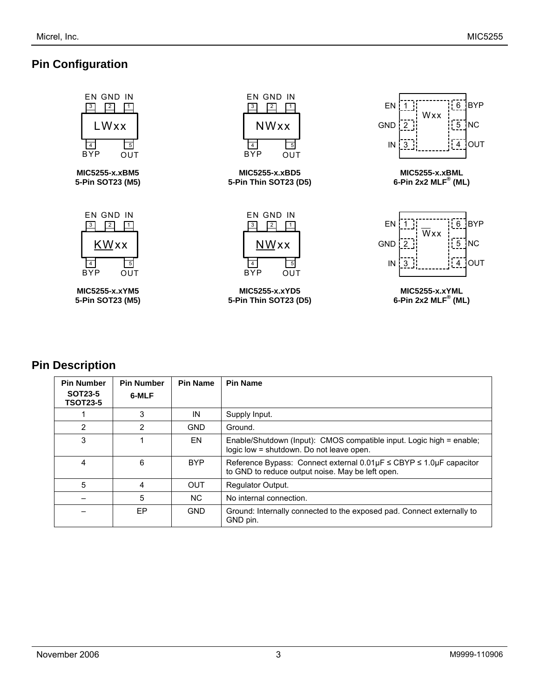## **Pin Configuration**



### **Pin Description**

| <b>Pin Number</b><br><b>SOT23-5</b><br><b>TSOT23-5</b> | <b>Pin Number</b><br>6-MLF | <b>Pin Name</b> | <b>Pin Name</b>                                                                                                                              |
|--------------------------------------------------------|----------------------------|-----------------|----------------------------------------------------------------------------------------------------------------------------------------------|
|                                                        | 3                          | IN              | Supply Input.                                                                                                                                |
| $\overline{2}$                                         | 2                          | <b>GND</b>      | Ground.                                                                                                                                      |
| 3                                                      |                            | EN              | Enable/Shutdown (Input): CMOS compatible input. Logic high = enable;<br>logic low = shutdown. Do not leave open.                             |
| 4                                                      | 6                          | <b>BYP</b>      | Reference Bypass: Connect external $0.01 \mu$ F $\leq$ CBYP $\leq$ 1.0 $\mu$ F capacitor<br>to GND to reduce output noise. May be left open. |
| 5                                                      | 4                          | <b>OUT</b>      | <b>Regulator Output.</b>                                                                                                                     |
|                                                        | 5                          | NC.             | No internal connection.                                                                                                                      |
|                                                        | EP                         | <b>GND</b>      | Ground: Internally connected to the exposed pad. Connect externally to<br>GND pin.                                                           |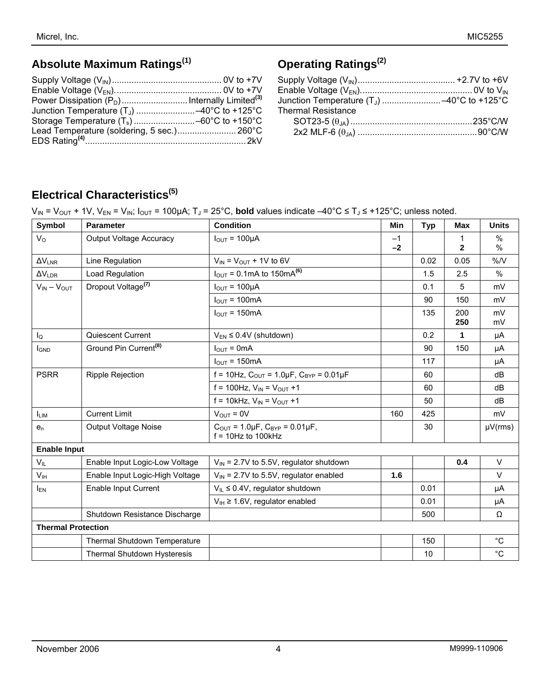# **Absolute Maximum Ratings(1)**

# **Operating Ratings(2)**

| <b>Thermal Resistance</b> |  |
|---------------------------|--|
|                           |  |
|                           |  |
|                           |  |

# **Electrical Characteristics(5)**

|  | $V_{IN}$ = $V_{OUT}$ + 1V, $V_{EN}$ = $V_{IN}$ ; $I_{OUT}$ = 100µA; T <sub>J</sub> = 25°C, <b>bold</b> values indicate $-40^{\circ}$ C ≤ T <sub>J</sub> ≤ +125°C; unless noted. |
|--|---------------------------------------------------------------------------------------------------------------------------------------------------------------------------------|
|--|---------------------------------------------------------------------------------------------------------------------------------------------------------------------------------|

| Symbol                    | <b>Parameter</b>                    | <b>Condition</b>                                                                        | <b>Min</b>   | <b>Typ</b> | <b>Max</b>   | <b>Units</b> |
|---------------------------|-------------------------------------|-----------------------------------------------------------------------------------------|--------------|------------|--------------|--------------|
| $V_{\rm O}$               | <b>Output Voltage Accuracy</b>      | $I_{OUT} = 100 \mu A$                                                                   | $-1$<br>$-2$ |            | $\mathbf{2}$ | %<br>%       |
| $\Delta V_{LNR}$          | Line Regulation                     | $V_{IN}$ = $V_{OUT}$ + 1V to 6V                                                         |              | 0.02       | 0.05         | %N           |
| $\Delta V_{LDR}$          | Load Regulation                     | $I_{\text{OUT}} = 0.1 \text{mA}$ to 150 mA <sup>(6)</sup>                               |              | 1.5        | 2.5          | %            |
| $V_{IN} - V_{OUT}$        | Dropout Voltage <sup>(7)</sup>      | $I_{OUT} = 100 \mu A$                                                                   |              | 0.1        | 5            | mV           |
|                           |                                     | $I_{OUT} = 100mA$                                                                       |              | 90         | 150          | mV           |
|                           |                                     | $I_{\text{OUT}} = 150 \text{mA}$                                                        |              | 135        | 200<br>250   | mV<br>mV     |
| $I_{\mathsf{Q}}$          | Quiescent Current                   | $V_{EN} \leq 0.4V$ (shutdown)                                                           |              | 0.2        | 1            | μA           |
| <b>I</b> GND              | Ground Pin Current <sup>(8)</sup>   | $IQUT = 0mA$                                                                            |              | 90         | 150          | μA           |
|                           |                                     | $I_{\text{OUT}} = 150 \text{mA}$                                                        |              | 117        |              | μA           |
| <b>PSRR</b>               | <b>Ripple Rejection</b>             | f = 10Hz, $C_{OUT}$ = 1.0µF, $C_{BYP}$ = 0.01µF                                         |              | 60         |              | dB           |
|                           |                                     | $f = 100$ Hz, $V_{IN} = V_{OUT} + 1$                                                    |              | 60         |              | dB           |
|                           |                                     | f = 10kHz, $V_{IN} = V_{OUT} + 1$                                                       |              | 50         |              | dB           |
| <b>LIM</b>                | <b>Current Limit</b>                | $V_{OUT} = 0V$                                                                          | 160          | 425        |              | mV           |
| $e_n$                     | <b>Output Voltage Noise</b>         | $C_{\text{OUT}} = 1.0 \mu F$ , $C_{\text{BYP}} = 0.01 \mu F$ ,<br>$f = 10$ Hz to 100kHz |              | 30         |              | $\mu V(rms)$ |
|                           | <b>Enable Input</b>                 |                                                                                         |              |            |              |              |
| $V_{IL}$                  | Enable Input Logic-Low Voltage      | $V_{IN}$ = 2.7V to 5.5V, regulator shutdown                                             |              |            | 0.4          | $\vee$       |
| V <sub>IH</sub>           | Enable Input Logic-High Voltage     | $V_{IN}$ = 2.7V to 5.5V, regulator enabled                                              | 1.6          |            |              | $\vee$       |
| $I_{EN}$                  | Enable Input Current                | $V_{IL} \leq 0.4V$ , regulator shutdown                                                 |              | 0.01       |              | μA           |
|                           |                                     | $V_{IH} \ge 1.6V$ , regulator enabled                                                   |              | 0.01       |              | μA           |
|                           | Shutdown Resistance Discharge       |                                                                                         |              | 500        |              | Ω            |
| <b>Thermal Protection</b> |                                     |                                                                                         |              |            |              |              |
|                           | <b>Thermal Shutdown Temperature</b> |                                                                                         |              | 150        |              | $^{\circ}C$  |
|                           | Thermal Shutdown Hysteresis         |                                                                                         |              | 10         |              | $^{\circ}C$  |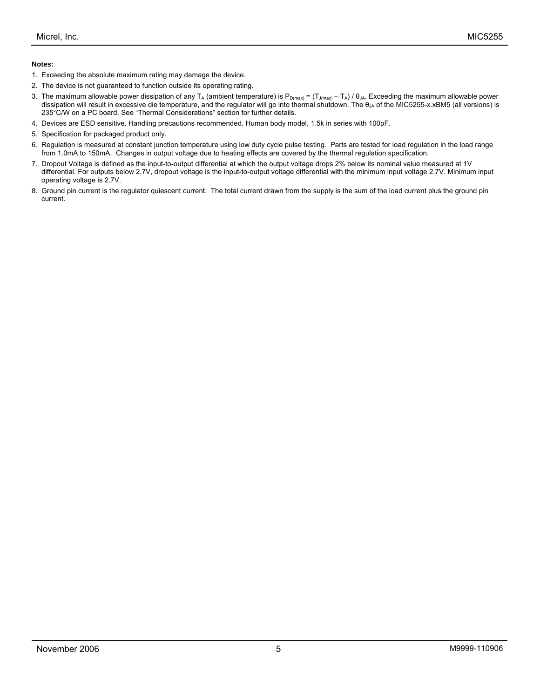#### **Notes:**

- 1. Exceeding the absolute maximum rating may damage the device.
- 2. The device is not guaranteed to function outside its operating rating.
- 3. The maximum allowable power dissipation of any T<sub>A</sub> (ambient temperature) is P<sub>D(max)</sub> =  $(T_{J(max)} T_A) / \theta_{JA}$ . Exceeding the maximum allowable power dissipation will result in excessive die temperature, and the regulator will go into thermal shutdown. The  $\theta_{\mu}$  of the MIC5255-x.xBM5 (all versions) is 235°C/W on a PC board. See "Thermal Considerations" section for further details.
- 4. Devices are ESD sensitive. Handling precautions recommended. Human body model, 1.5k in series with 100pF.
- 5. Specification for packaged product only.
- 6. Regulation is measured at constant junction temperature using low duty cycle pulse testing. Parts are tested for load regulation in the load range from 1.0mA to 150mA. Changes in output voltage due to heating effects are covered by the thermal regulation specification.
- 7. Dropout Voltage is defined as the input-to-output differential at which the output voltage drops 2% below its nominal value measured at 1V differential. For outputs below 2.7V, dropout voltage is the input-to-output voltage differential with the minimum input voltage 2.7V. Minimum input operating voltage is 2.7V.
- 8. Ground pin current is the regulator quiescent current. The total current drawn from the supply is the sum of the load current plus the ground pin current.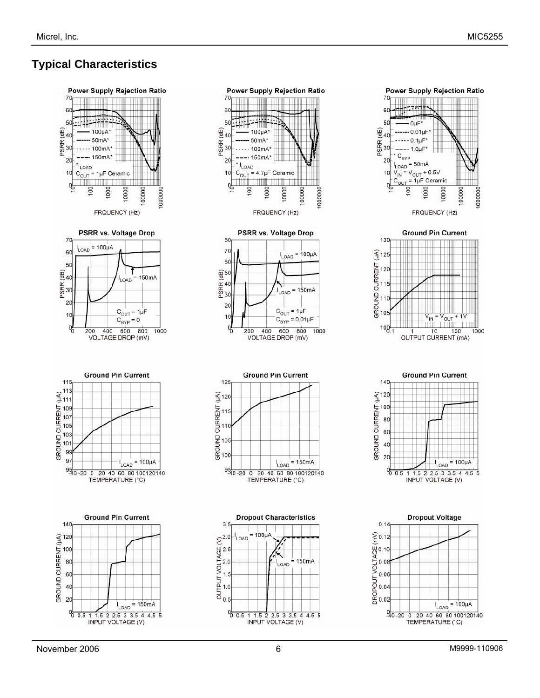# **Typical Characteristics**







 $I_{LOAD}$  = 100µA  $-\frac{0}{40}$  -20 0 20 40 60 80 100120140 TEMPERATURE (°C)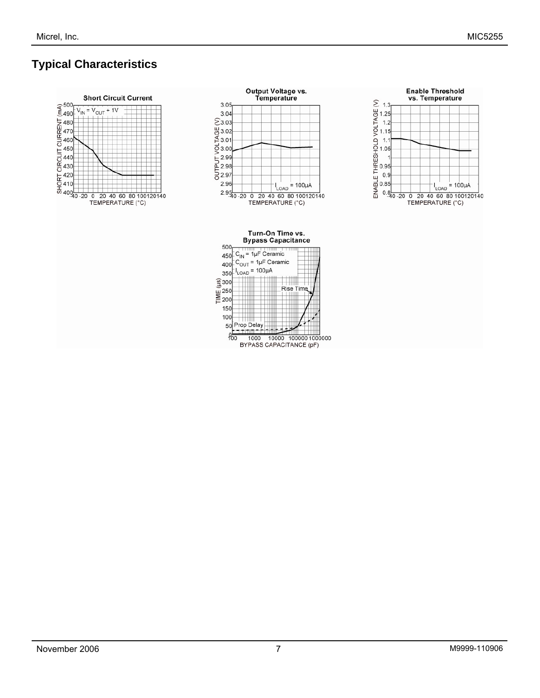# **Typical Characteristics**







Turn-On Time vs. **Bypass Capacitance** 

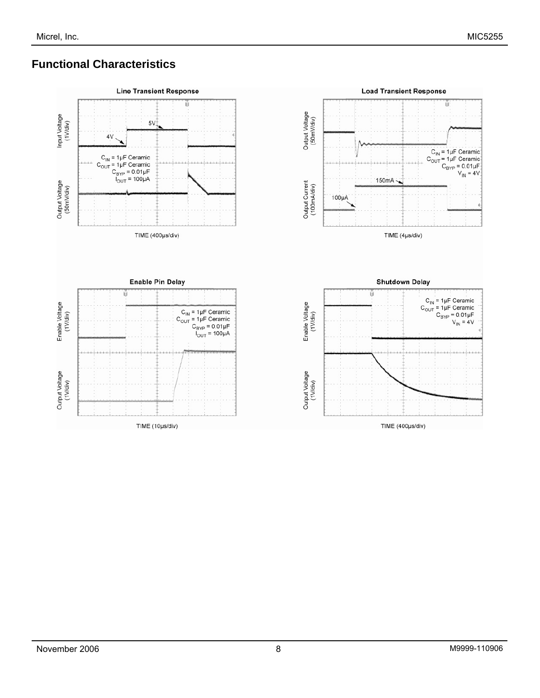## **Functional Characteristics**

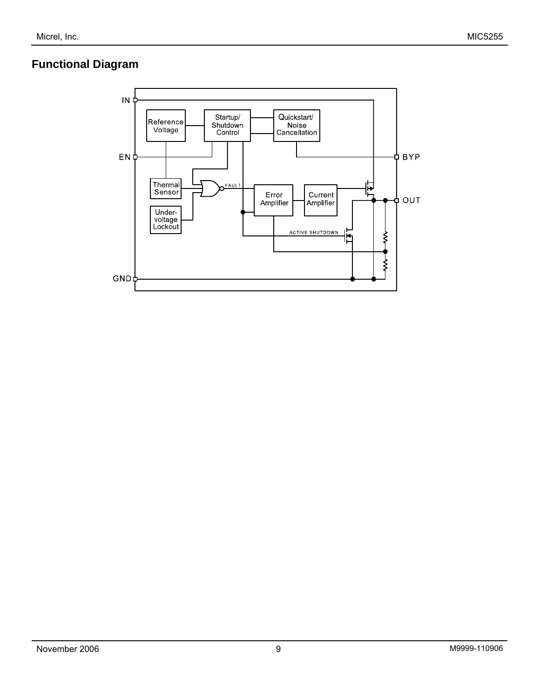## **Functional Diagram**

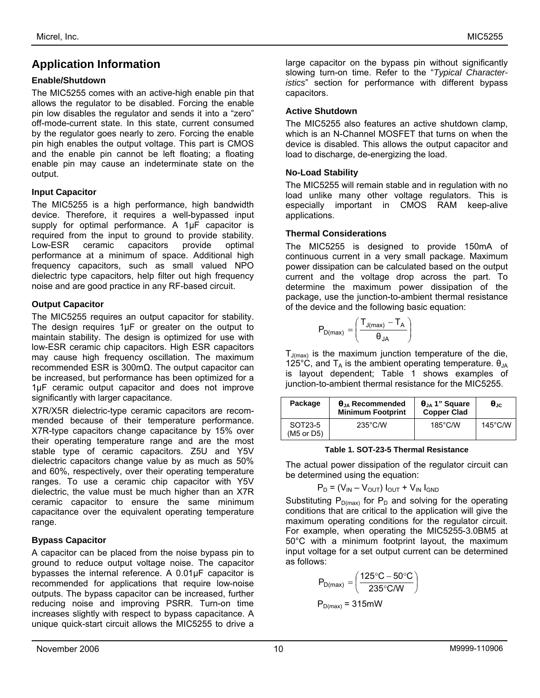### **Application Information**

#### **Enable/Shutdown**

The MIC5255 comes with an active-high enable pin that allows the regulator to be disabled. Forcing the enable pin low disables the regulator and sends it into a "zero" off-mode-current state. In this state, current consumed by the regulator goes nearly to zero. Forcing the enable pin high enables the output voltage. This part is CMOS and the enable pin cannot be left floating; a floating enable pin may cause an indeterminate state on the output.

#### **Input Capacitor**

The MIC5255 is a high performance, high bandwidth device. Therefore, it requires a well-bypassed input supply for optimal performance. A 1uF capacitor is required from the input to ground to provide stability. Low-ESR ceramic capacitors provide optimal performance at a minimum of space. Additional high frequency capacitors, such as small valued NPO dielectric type capacitors, help filter out high frequency noise and are good practice in any RF-based circuit.

### **Output Capacitor**

The MIC5255 requires an output capacitor for stability. The design requires 1µF or greater on the output to maintain stability. The design is optimized for use with low-ESR ceramic chip capacitors. High ESR capacitors may cause high frequency oscillation. The maximum recommended ESR is 300mΩ. The output capacitor can be increased, but performance has been optimized for a 1µF ceramic output capacitor and does not improve significantly with larger capacitance.

X7R/X5R dielectric-type ceramic capacitors are recommended because of their temperature performance. X7R-type capacitors change capacitance by 15% over their operating temperature range and are the most stable type of ceramic capacitors. Z5U and Y5V dielectric capacitors change value by as much as 50% and 60%, respectively, over their operating temperature ranges. To use a ceramic chip capacitor with Y5V dielectric, the value must be much higher than an X7R ceramic capacitor to ensure the same minimum capacitance over the equivalent operating temperature range.

#### **Bypass Capacitor**

A capacitor can be placed from the noise bypass pin to ground to reduce output voltage noise. The capacitor bypasses the internal reference. A 0.01µF capacitor is recommended for applications that require low-noise outputs. The bypass capacitor can be increased, further reducing noise and improving PSRR. Turn-on time increases slightly with respect to bypass capacitance. A unique quick-start circuit allows the MIC5255 to drive a

large capacitor on the bypass pin without significantly slowing turn-on time. Refer to the "*Typical Characteristics*" section for performance with different bypass capacitors.

#### **Active Shutdown**

The MIC5255 also features an active shutdown clamp, which is an N-Channel MOSFET that turns on when the device is disabled. This allows the output capacitor and load to discharge, de-energizing the load.

#### **No-Load Stability**

The MIC5255 will remain stable and in regulation with no load unlike many other voltage regulators. This is especially important in CMOS RAM keep-alive applications.

#### **Thermal Considerations**

The MIC5255 is designed to provide 150mA of continuous current in a very small package. Maximum power dissipation can be calculated based on the output current and the voltage drop across the part. To determine the maximum power dissipation of the package, use the junction-to-ambient thermal resistance of the device and the following basic equation:

$$
P_{D(max)}=\left(\frac{T_{J(max)}-T_A}{\theta_{JA}}\right)
$$

 $T_{J(max)}$  is the maximum junction temperature of the die, 125°C, and  $T_A$  is the ambient operating temperature.  $\theta_{JA}$ is layout dependent; Table 1 shows examples of junction-to-ambient thermal resistance for the MIC5255.

| Package               | $\theta_{JA}$ Recommended<br><b>Minimum Footprint</b> | $\theta_{JA}$ 1" Square<br><b>Copper Clad</b> | $\mathbf{\Theta}$ .ic: |
|-----------------------|-------------------------------------------------------|-----------------------------------------------|------------------------|
| SOT23-5<br>(M5 or D5) | $235^{\circ}$ C/W                                     | $185^{\circ}$ C/W                             | $145^{\circ}$ C/W      |

#### **Table 1. SOT-23-5 Thermal Resistance**

The actual power dissipation of the regulator circuit can be determined using the equation:

$$
P_D = (V_{IN} - V_{OUT}) I_{OUT} + V_{IN} I_{GND}
$$

Substituting  $P_{D(max)}$  for  $P_D$  and solving for the operating conditions that are critical to the application will give the maximum operating conditions for the regulator circuit. For example, when operating the MIC5255-3.0BM5 at 50°C with a minimum footprint layout, the maximum input voltage for a set output current can be determined as follows:

$$
P_{D(max)} = \left(\frac{125\text{°C} - 50\text{°C}}{235\text{°C/W}}\right)
$$

$$
P_{D(max)} = 315 \text{mW}
$$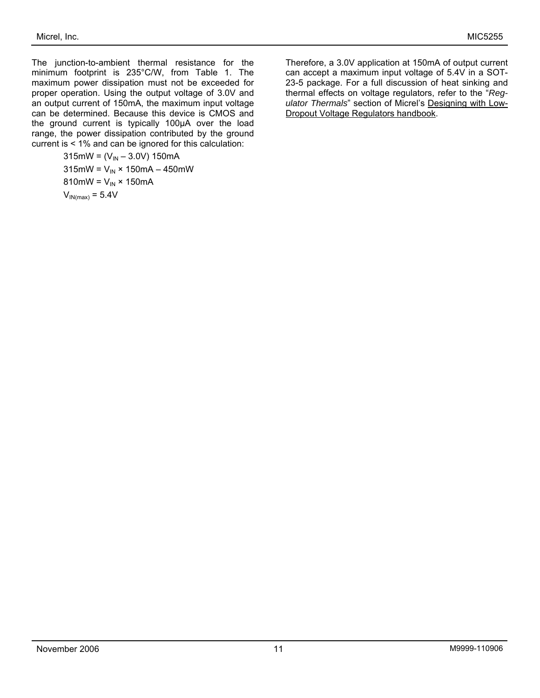The junction-to-ambient thermal resistance for the minimum footprint is 235°C/W, from Table 1. The maximum power dissipation must not be exceeded for proper operation. Using the output voltage of 3.0V and an output current of 150mA, the maximum input voltage can be determined. Because this device is CMOS and the ground current is typically 100µA over the load range, the power dissipation contributed by the ground current is < 1% and can be ignored for this calculation:

> mW = (V<sub>IN</sub> – 3.0V) 150mA mW =  $V_{IN}$  × 150mA – 450mW mW =  $V_{IN}$  × 150mA  $V_{IN(max)} = 5.4V$

Therefore, a 3.0V application at 150mA of output current can accept a maximum input voltage of 5.4V in a SOT-23-5 package. For a full discussion of heat sinking and thermal effects on voltage regulators, refer to the "*Regulator Thermals*" section of Micrel's Designing with Low-Dropout Voltage Regulators handbook.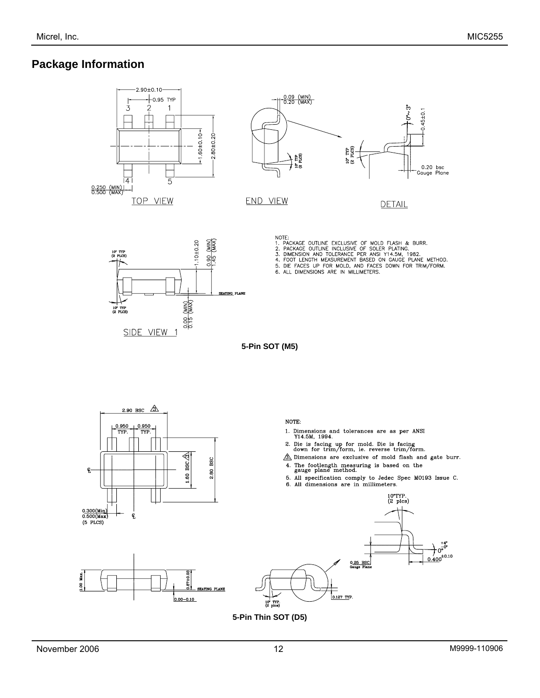### **Package Information**